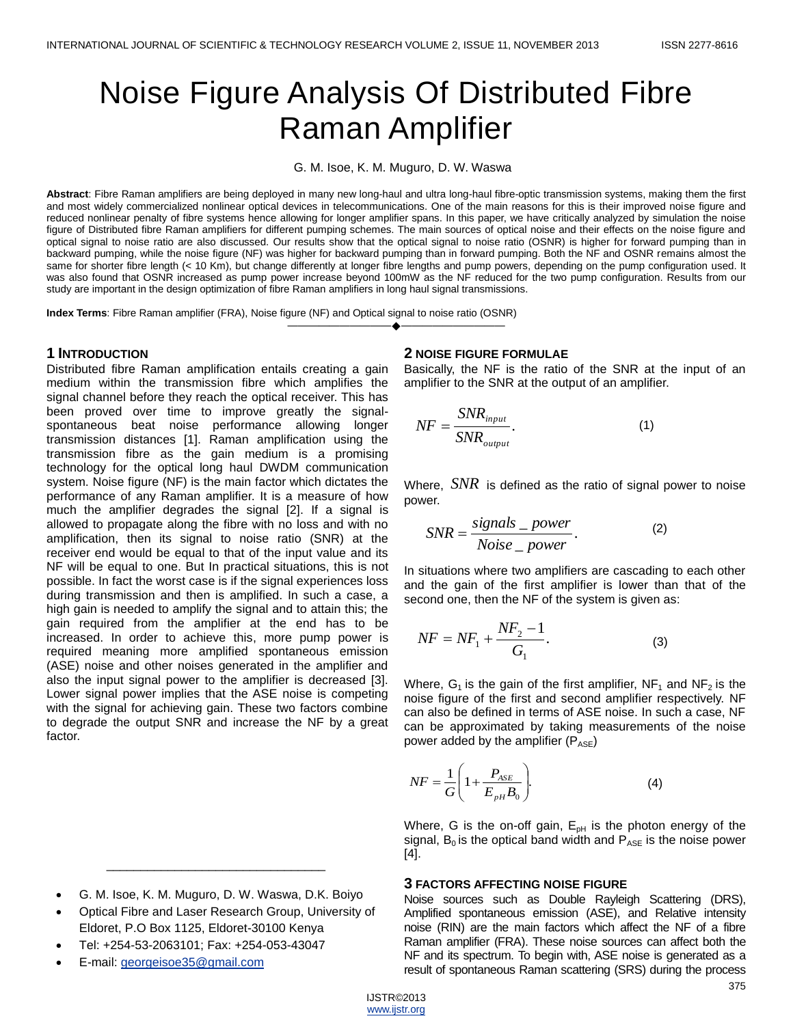# Noise Figure Analysis Of Distributed Fibre Raman Amplifier

G. M. Isoe, K. M. Muguro, D. W. Waswa

**Abstract**: Fibre Raman amplifiers are being deployed in many new long-haul and ultra long-haul fibre-optic transmission systems, making them the first and most widely commercialized nonlinear optical devices in telecommunications. One of the main reasons for this is their improved noise figure and reduced nonlinear penalty of fibre systems hence allowing for longer amplifier spans. In this paper, we have critically analyzed by simulation the noise figure of Distributed fibre Raman amplifiers for different pumping schemes. The main sources of optical noise and their effects on the noise figure and optical signal to noise ratio are also discussed. Our results show that the optical signal to noise ratio (OSNR) is higher for forward pumping than in backward pumping, while the noise figure (NF) was higher for backward pumping than in forward pumping. Both the NF and OSNR remains almost the same for shorter fibre length (< 10 Km), but change differently at longer fibre lengths and pump powers, depending on the pump configuration used. It was also found that OSNR increased as pump power increase beyond 100mW as the NF reduced for the two pump configuration. Results from our study are important in the design optimization of fibre Raman amplifiers in long haul signal transmissions.

————————————————————

**Index Terms**: Fibre Raman amplifier (FRA), Noise figure (NF) and Optical signal to noise ratio (OSNR)

#### **1 INTRODUCTION**

Distributed fibre Raman amplification entails creating a gain medium within the transmission fibre which amplifies the signal channel before they reach the optical receiver. This has been proved over time to improve greatly the signalspontaneous beat noise performance allowing longer transmission distances [1]. Raman amplification using the transmission fibre as the gain medium is a promising technology for the optical long haul DWDM communication system. Noise figure (NF) is the main factor which dictates the performance of any Raman amplifier. It is a measure of how much the amplifier degrades the signal [2]. If a signal is allowed to propagate along the fibre with no loss and with no amplification, then its signal to noise ratio (SNR) at the receiver end would be equal to that of the input value and its NF will be equal to one. But In practical situations, this is not possible. In fact the worst case is if the signal experiences loss during transmission and then is amplified. In such a case, a high gain is needed to amplify the signal and to attain this; the gain required from the amplifier at the end has to be increased. In order to achieve this, more pump power is required meaning more amplified spontaneous emission (ASE) noise and other noises generated in the amplifier and also the input signal power to the amplifier is decreased [3]. Lower signal power implies that the ASE noise is competing with the signal for achieving gain. These two factors combine to degrade the output SNR and increase the NF by a great factor.

G. M. Isoe, K. M. Muguro, D. W. Waswa, D.K. Boiyo

\_\_\_\_\_\_\_\_\_\_\_\_\_\_\_\_\_\_\_\_\_\_\_\_\_\_\_\_\_\_\_\_

- Optical Fibre and Laser Research Group, University of Eldoret, P.O Box 1125, Eldoret-30100 Kenya
- Tel: +254-53-2063101; Fax: +254-053-43047
- E-mail: [georgeisoe35@gmail.com](mailto:georgeisoe35@gmail.com)

#### **2 NOISE FIGURE FORMULAE**

Basically, the NF is the ratio of the SNR at the input of an amplifier to the SNR at the output of an amplifier.

$$
NF = \frac{SNR_{input}}{SNR_{output}}.\tag{1}
$$

Where, *SNR* is defined as the ratio of signal power to noise power.

$$
SNR = \frac{signals \text{ }_{\text{}}}{Noise \text{ }_{\text{}}\text{ }_{\text{}}\text{ }_{\text{}}\text{ }_{\text{}}\text{ } \tag{2}
$$

In situations where two amplifiers are cascading to each other and the gain of the first amplifier is lower than that of the second one, then the NF of the system is given as:

$$
NF = NF_1 + \frac{NF_2 - 1}{G_1}.
$$
 (3)

Where,  $G_1$  is the gain of the first amplifier,  $NF_1$  and  $NF_2$  is the noise figure of the first and second amplifier respectively. NF can also be defined in terms of ASE noise. In such a case, NF can be approximated by taking measurements of the noise power added by the amplifier  $(P_{ASE})$ 

$$
NF = \frac{1}{G} \left( 1 + \frac{P_{\scriptscriptstyle ASE}}{E_{\scriptscriptstyle pH} B_0} \right). \tag{4}
$$

Where, G is the on-off gain,  $E_{pH}$  is the photon energy of the signal,  $B_0$  is the optical band width and  $P_{ASE}$  is the noise power [4].

#### **3 FACTORS AFFECTING NOISE FIGURE**

Noise sources such as Double Rayleigh Scattering (DRS), Amplified spontaneous emission (ASE), and Relative intensity noise (RIN) are the main factors which affect the NF of a fibre Raman amplifier (FRA). These noise sources can affect both the NF and its spectrum. To begin with, ASE noise is generated as a result of spontaneous Raman scattering (SRS) during the process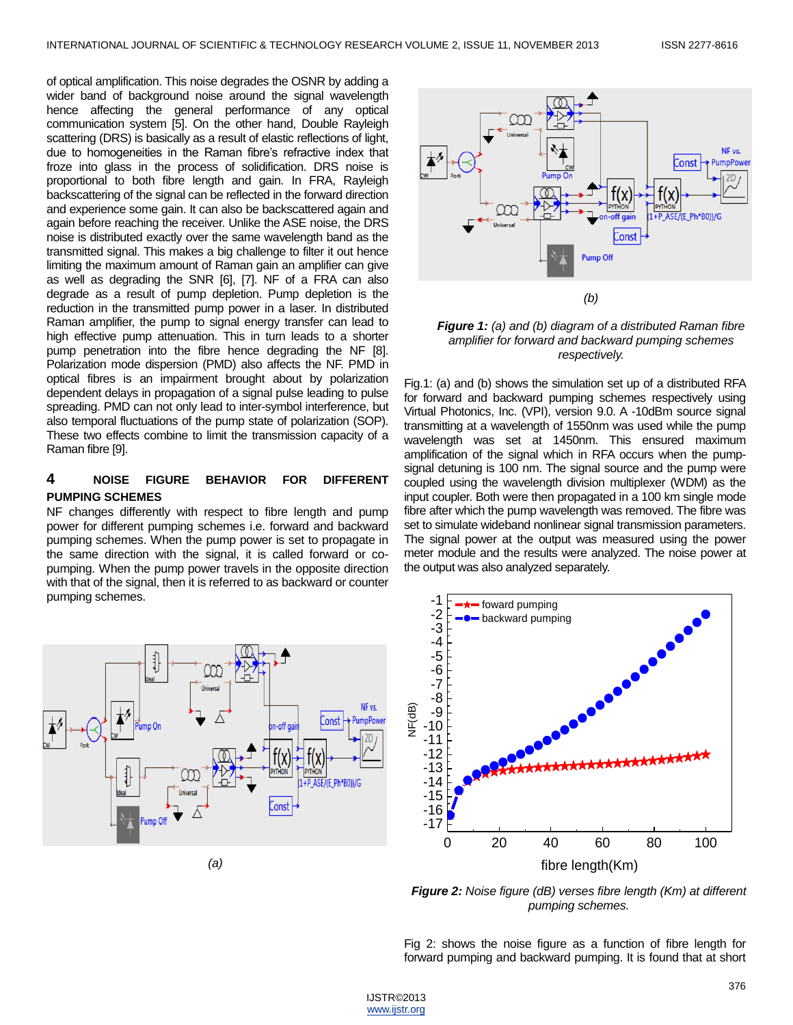of optical amplification. This noise degrades the OSNR by adding a wider band of background noise around the signal wavelength hence affecting the general performance of any optical communication system [5]. On the other hand, Double Rayleigh scattering (DRS) is basically as a result of elastic reflections of light, due to homogeneities in the Raman fibre's refractive index that froze into glass in the process of solidification. DRS noise is proportional to both fibre length and gain. In FRA, Rayleigh backscattering of the signal can be reflected in the forward direction and experience some gain. It can also be backscattered again and again before reaching the receiver. Unlike the ASE noise, the DRS noise is distributed exactly over the same wavelength band as the transmitted signal. This makes a big challenge to filter it out hence limiting the maximum amount of Raman gain an amplifier can give as well as degrading the SNR [6], [7]. NF of a FRA can also degrade as a result of pump depletion. Pump depletion is the reduction in the transmitted pump power in a laser. In distributed Raman amplifier, the pump to signal energy transfer can lead to high effective pump attenuation. This in turn leads to a shorter pump penetration into the fibre hence degrading the NF [8]. Polarization mode dispersion (PMD) also affects the NF. PMD in optical fibres is an impairment brought about by polarization dependent delays in propagation of a signal pulse leading to pulse spreading. PMD can not only lead to inter-symbol interference, but also temporal fluctuations of the pump state of polarization (SOP). These two effects combine to limit the transmission capacity of a Raman fibre [9].

## **4 NOISE FIGURE BEHAVIOR FOR DIFFERENT PUMPING SCHEMES**

NF changes differently with respect to fibre length and pump power for different pumping schemes i.e. forward and backward pumping schemes. When the pump power is set to propagate in the same direction with the signal, it is called forward or copumping. When the pump power travels in the opposite direction with that of the signal, then it is referred to as backward or counter pumping schemes.



*(a)*



*Figure 1: (a) and (b) diagram of a distributed Raman fibre amplifier for forward and backward pumping schemes respectively.*

Fig.1: (a) and (b) shows the simulation set up of a distributed RFA for forward and backward pumping schemes respectively using Virtual Photonics, Inc. (VPI), version 9.0. A -10dBm source signal transmitting at a wavelength of 1550nm was used while the pump wavelength was set at 1450nm. This ensured maximum amplification of the signal which in RFA occurs when the pumpsignal detuning is 100 nm. The signal source and the pump were coupled using the wavelength division multiplexer (WDM) as the input coupler. Both were then propagated in a 100 km single mode fibre after which the pump wavelength was removed. The fibre was set to simulate wideband nonlinear signal transmission parameters. The signal power at the output was measured using the power meter module and the results were analyzed. The noise power at the output was also analyzed separately.



*Figure 2: Noise figure (dB) verses fibre length (Km) at different pumping schemes.*

Fig 2: shows the noise figure as a function of fibre length for forward pumping and backward pumping. It is found that at short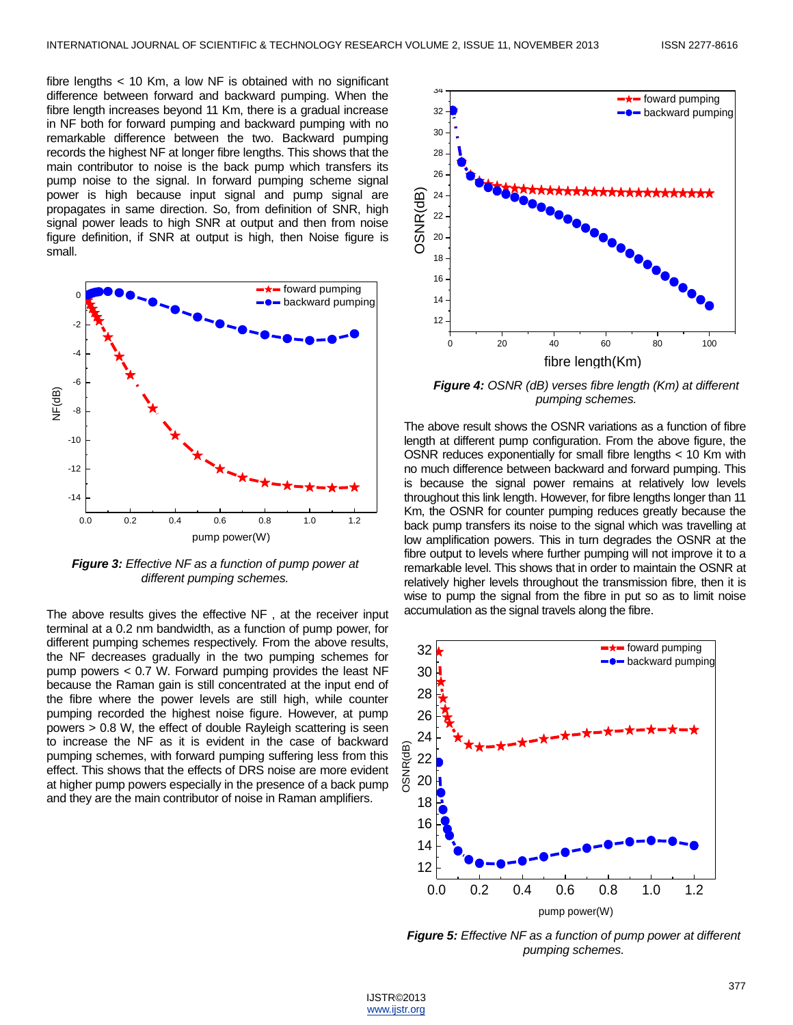fibre lengths < 10 Km, a low NF is obtained with no significant difference between forward and backward pumping. When the fibre length increases beyond 11 Km, there is a gradual increase in NF both for forward pumping and backward pumping with no remarkable difference between the two. Backward pumping records the highest NF at longer fibre lengths. This shows that the main contributor to noise is the back pump which transfers its pump noise to the signal. In forward pumping scheme signal power is high because input signal and pump signal are propagates in same direction. So, from definition of SNR, high signal power leads to high SNR at output and then from noise figure definition, if SNR at output is high, then Noise figure is small.



*Figure 3: Effective NF as a function of pump power at different pumping schemes.*

The above results gives the effective NF , at the receiver input terminal at a 0.2 nm bandwidth, as a function of pump power, for different pumping schemes respectively. From the above results, the NF decreases gradually in the two pumping schemes for pump powers < 0.7 W. Forward pumping provides the least NF because the Raman gain is still concentrated at the input end of the fibre where the power levels are still high, while counter pumping recorded the highest noise figure. However, at pump powers > 0.8 W, the effect of double Rayleigh scattering is seen to increase the NF as it is evident in the case of backward pumping schemes, with forward pumping suffering less from this effect. This shows that the effects of DRS noise are more evident at higher pump powers especially in the presence of a back pump and they are the main contributor of noise in Raman amplifiers.



*Figure 4: OSNR (dB) verses fibre length (Km) at different pumping schemes.*

The above result shows the OSNR variations as a function of fibre length at different pump configuration. From the above figure, the OSNR reduces exponentially for small fibre lengths < 10 Km with no much difference between backward and forward pumping. This is because the signal power remains at relatively low levels throughout this link length. However, for fibre lengths longer than 11 Km, the OSNR for counter pumping reduces greatly because the back pump transfers its noise to the signal which was travelling at low amplification powers. This in turn degrades the OSNR at the fibre output to levels where further pumping will not improve it to a remarkable level. This shows that in order to maintain the OSNR at relatively higher levels throughout the transmission fibre, then it is wise to pump the signal from the fibre in put so as to limit noise accumulation as the signal travels along the fibre.



*Figure 5: Effective NF as a function of pump power at different pumping schemes.*